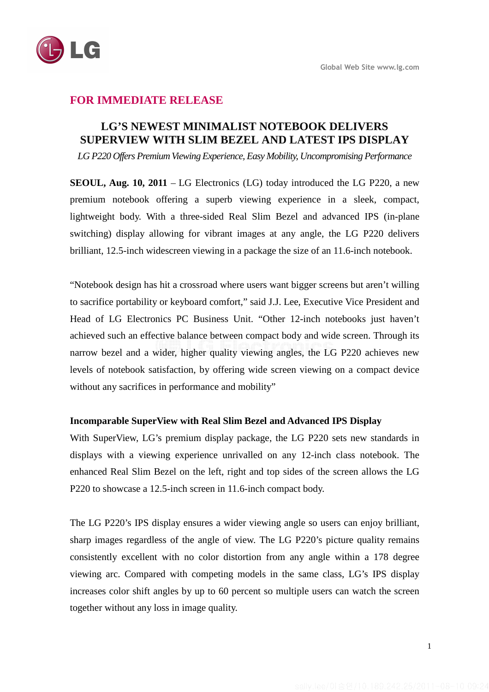

## **FOR IMMEDIATE RELEASE**

# **LG'S NEWEST MINIMALIST NOTEBOOK DELIVERS SUPERVIEW WITH SLIM BEZEL AND LATEST IPS DISPLAY**

*LG P220 Offers Premium Viewing Experience, Easy Mobility, Uncompromising Performance* 

**SEOUL, Aug. 10, 2011** – LG Electronics (LG) today introduced the LG P220, a new premium notebook offering a superb viewing experience in a sleek, compact, lightweight body. With a three-sided Real Slim Bezel and advanced IPS (in-plane switching) display allowing for vibrant images at any angle, the LG P220 delivers brilliant, 12.5-inch widescreen viewing in a package the size of an 11.6-inch notebook.

"Notebook design has hit a crossroad where users want bigger screens but aren't willing to sacrifice portability or keyboard comfort," said J.J. Lee, Executive Vice President and Head of LG Electronics PC Business Unit. "Other 12-inch notebooks just haven't achieved such an effective balance between compact body and wide screen. Through its narrow bezel and a wider, higher quality viewing angles, the LG P220 achieves new levels of notebook satisfaction, by offering wide screen viewing on a compact device without any sacrifices in performance and mobility"

#### **Incomparable SuperView with Real Slim Bezel and Advanced IPS Display**

With SuperView, LG's premium display package, the LG P220 sets new standards in displays with a viewing experience unrivalled on any 12-inch class notebook. The enhanced Real Slim Bezel on the left, right and top sides of the screen allows the LG P220 to showcase a 12.5-inch screen in 11.6-inch compact body.

The LG P220's IPS display ensures a wider viewing angle so users can enjoy brilliant, sharp images regardless of the angle of view. The LG P220's picture quality remains consistently excellent with no color distortion from any angle within a 178 degree viewing arc. Compared with competing models in the same class, LG's IPS display increases color shift angles by up to 60 percent so multiple users can watch the screen together without any loss in image quality.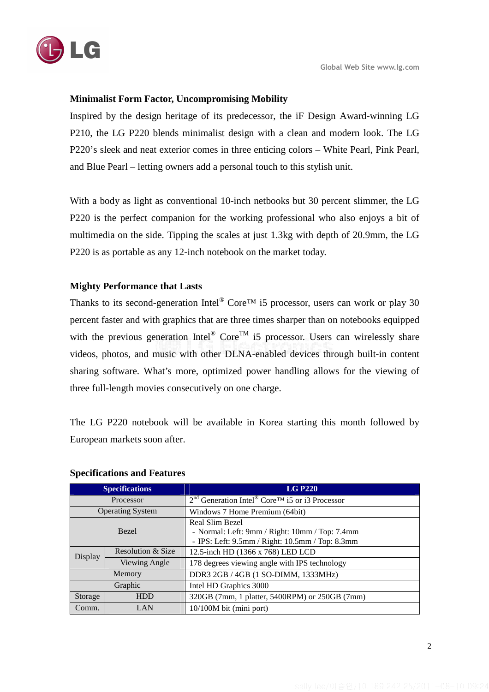

### **Minimalist Form Factor, Uncompromising Mobility**

Inspired by the design heritage of its predecessor, the iF Design Award-winning LG P210, the LG P220 blends minimalist design with a clean and modern look. The LG P220's sleek and neat exterior comes in three enticing colors – White Pearl, Pink Pearl, and Blue Pearl – letting owners add a personal touch to this stylish unit.

With a body as light as conventional 10-inch netbooks but 30 percent slimmer, the LG P220 is the perfect companion for the working professional who also enjoys a bit of multimedia on the side. Tipping the scales at just 1.3kg with depth of 20.9mm, the LG P220 is as portable as any 12-inch notebook on the market today.

### **Mighty Performance that Lasts**

Thanks to its second-generation Intel<sup>®</sup> Core<sup>TM</sup> i5 processor, users can work or play 30 percent faster and with graphics that are three times sharper than on notebooks equipped with the previous generation Intel<sup>®</sup> Core<sup>TM</sup> i5 processor. Users can wirelessly share videos, photos, and music with other DLNA-enabled devices through built-in content sharing software. What's more, optimized power handling allows for the viewing of three full-length movies consecutively on one charge.

The LG P220 notebook will be available in Korea starting this month followed by European markets soon after.

| <b>Specifications</b>   |                   | <b>LG P220</b>                                                            |
|-------------------------|-------------------|---------------------------------------------------------------------------|
| Processor               |                   | $2nd$ Generation Intel <sup>®</sup> Core <sup>TM</sup> i5 or i3 Processor |
| <b>Operating System</b> |                   | Windows 7 Home Premium (64bit)                                            |
| <b>Bezel</b>            |                   | Real Slim Bezel                                                           |
|                         |                   | - Normal: Left: 9mm / Right: 10mm / Top: 7.4mm                            |
|                         |                   | - IPS: Left: 9.5mm / Right: 10.5mm / Top: 8.3mm                           |
| Display                 | Resolution & Size | 12.5-inch HD (1366 x 768) LED LCD                                         |
|                         | Viewing Angle     | 178 degrees viewing angle with IPS technology                             |
| Memory                  |                   | DDR3 2GB / 4GB (1 SO-DIMM, 1333MHz)                                       |
| Graphic                 |                   | Intel HD Graphics 3000                                                    |
| Storage                 | <b>HDD</b>        | 320GB (7mm, 1 platter, 5400RPM) or 250GB (7mm)                            |
| Comm.                   | LAN               | 10/100M bit (mini port)                                                   |

#### **Specifications and Features**